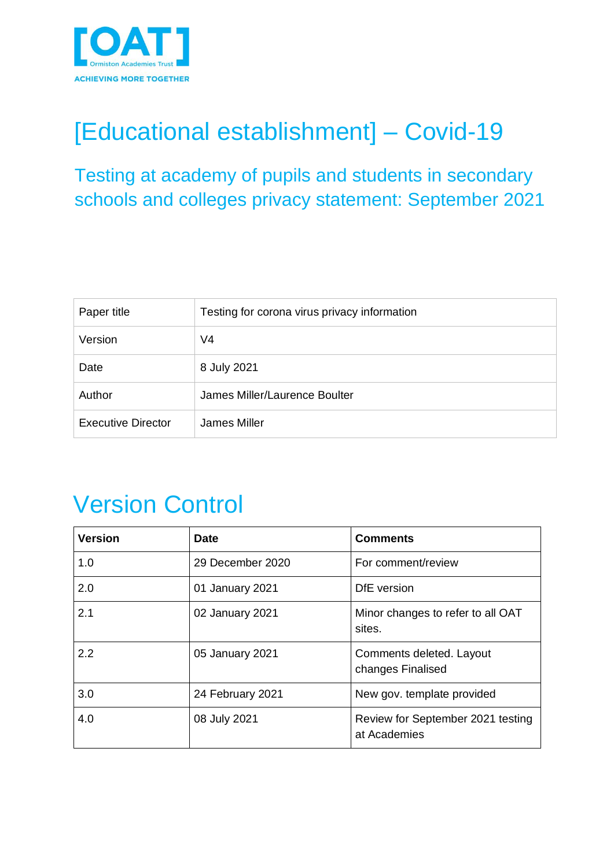

# [Educational establishment] – Covid-19

Testing at academy of pupils and students in secondary schools and colleges privacy statement: September 2021

| Paper title               | Testing for corona virus privacy information |  |
|---------------------------|----------------------------------------------|--|
| Version                   | V4                                           |  |
| Date                      | 8 July 2021                                  |  |
| Author                    | James Miller/Laurence Boulter                |  |
| <b>Executive Director</b> | James Miller                                 |  |

# Version Control

| <b>Version</b> | <b>Date</b>      | <b>Comments</b>                                   |
|----------------|------------------|---------------------------------------------------|
| 1.0            | 29 December 2020 | For comment/review                                |
| 2.0            | 01 January 2021  | DfE version                                       |
| 2.1            | 02 January 2021  | Minor changes to refer to all OAT<br>sites.       |
| 2.2            | 05 January 2021  | Comments deleted. Layout<br>changes Finalised     |
| 3.0            | 24 February 2021 | New gov. template provided                        |
| 4.0            | 08 July 2021     | Review for September 2021 testing<br>at Academies |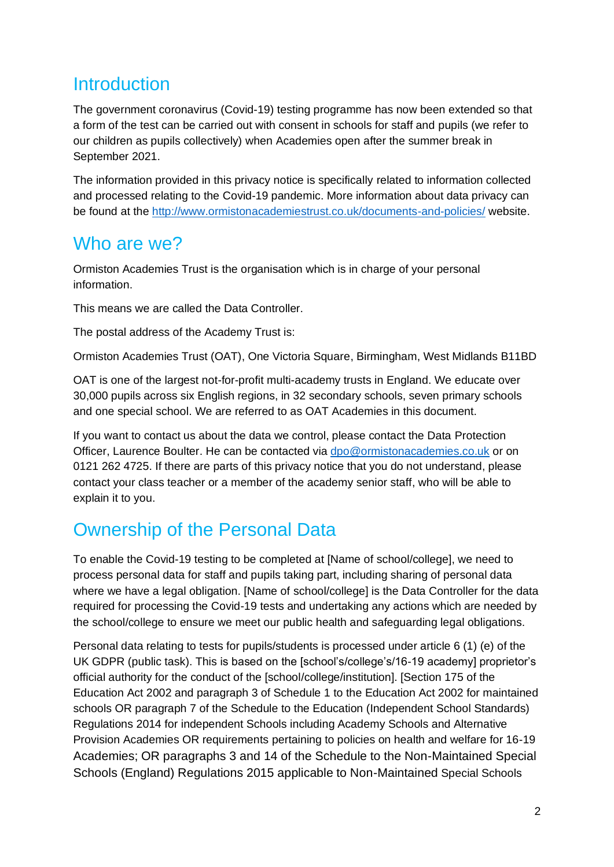## **Introduction**

The government coronavirus (Covid-19) testing programme has now been extended so that a form of the test can be carried out with consent in schools for staff and pupils (we refer to our children as pupils collectively) when Academies open after the summer break in September 2021.

The information provided in this privacy notice is specifically related to information collected and processed relating to the Covid-19 pandemic. More information about data privacy can be found at the<http://www.ormistonacademiestrust.co.uk/documents-and-policies/> website.

### Who are we?

Ormiston Academies Trust is the organisation which is in charge of your personal information.

This means we are called the Data Controller.

The postal address of the Academy Trust is:

Ormiston Academies Trust (OAT), One Victoria Square, Birmingham, West Midlands B11BD

OAT is one of the largest not-for-profit multi-academy trusts in England. We educate over 30,000 pupils across six English regions, in 32 secondary schools, seven primary schools and one special school. We are referred to as OAT Academies in this document.

If you want to contact us about the data we control, please contact the Data Protection Officer, Laurence Boulter. He can be contacted via [dpo@ormistonacademies.co.uk](mailto:dpo@ormistonacademies.co.uk) or on 0121 262 4725. If there are parts of this privacy notice that you do not understand, please contact your class teacher or a member of the academy senior staff, who will be able to explain it to you.

## Ownership of the Personal Data

To enable the Covid-19 testing to be completed at [Name of school/college], we need to process personal data for staff and pupils taking part, including sharing of personal data where we have a legal obligation. [Name of school/college] is the Data Controller for the data required for processing the Covid-19 tests and undertaking any actions which are needed by the school/college to ensure we meet our public health and safeguarding legal obligations.

Personal data relating to tests for pupils/students is processed under article 6 (1) (e) of the UK GDPR (public task). This is based on the [school's/college's/16-19 academy] proprietor's official authority for the conduct of the [school/college/institution]. [Section 175 of the Education Act 2002 and paragraph 3 of Schedule 1 to the Education Act 2002 for maintained schools OR paragraph 7 of the Schedule to the Education (Independent School Standards) Regulations 2014 for independent Schools including Academy Schools and Alternative Provision Academies OR requirements pertaining to policies on health and welfare for 16-19 Academies; OR paragraphs 3 and 14 of the Schedule to the Non-Maintained Special Schools (England) Regulations 2015 applicable to Non-Maintained Special Schools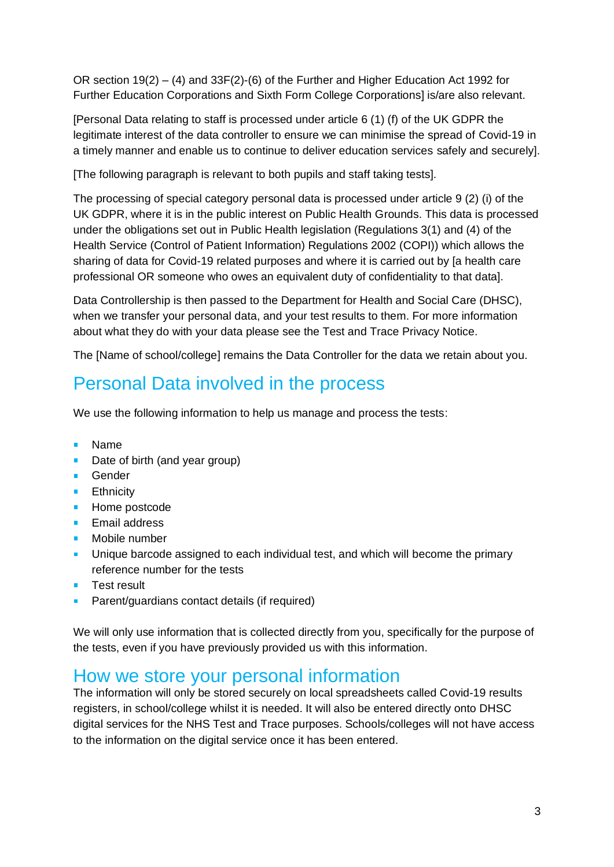OR section 19(2) – (4) and 33F(2)-(6) of the Further and Higher Education Act 1992 for Further Education Corporations and Sixth Form College Corporations] is/are also relevant.

[Personal Data relating to staff is processed under article 6 (1) (f) of the UK GDPR the legitimate interest of the data controller to ensure we can minimise the spread of Covid-19 in a timely manner and enable us to continue to deliver education services safely and securely].

[The following paragraph is relevant to both pupils and staff taking tests].

The processing of special category personal data is processed under article 9 (2) (i) of the UK GDPR, where it is in the public interest on Public Health Grounds. This data is processed under the obligations set out in Public Health legislation (Regulations 3(1) and (4) of the Health Service (Control of Patient Information) Regulations 2002 (COPI)) which allows the sharing of data for Covid-19 related purposes and where it is carried out by [a health care professional OR someone who owes an equivalent duty of confidentiality to that data].

Data Controllership is then passed to the Department for Health and Social Care (DHSC), when we transfer your personal data, and your test results to them. For more information about what they do with your data please see the Test and Trace Privacy Notice.

The [Name of school/college] remains the Data Controller for the data we retain about you.

## Personal Data involved in the process

We use the following information to help us manage and process the tests:

- $\mathbf{r}$ Name
- Date of birth (and year group)
- **Gender**
- **Ethnicity**
- **Home postcode**
- Email address  $\mathbf{r}$
- Mobile number
- **Unique barcode assigned to each individual test, and which will become the primary** reference number for the tests
- Test result ×.
- Parent/guardians contact details (if required)

We will only use information that is collected directly from you, specifically for the purpose of the tests, even if you have previously provided us with this information.

#### How we store your personal information

The information will only be stored securely on local spreadsheets called Covid-19 results registers, in school/college whilst it is needed. It will also be entered directly onto DHSC digital services for the NHS Test and Trace purposes. Schools/colleges will not have access to the information on the digital service once it has been entered.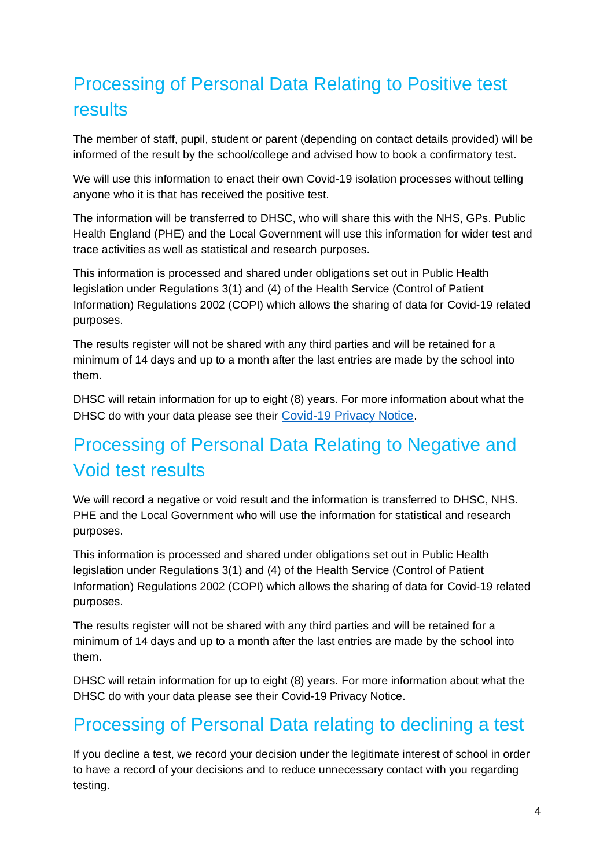# Processing of Personal Data Relating to Positive test results

The member of staff, pupil, student or parent (depending on contact details provided) will be informed of the result by the school/college and advised how to book a confirmatory test.

We will use this information to enact their own Covid-19 isolation processes without telling anyone who it is that has received the positive test.

The information will be transferred to DHSC, who will share this with the NHS, GPs. Public Health England (PHE) and the Local Government will use this information for wider test and trace activities as well as statistical and research purposes.

This information is processed and shared under obligations set out in Public Health legislation under Regulations 3(1) and (4) of the Health Service (Control of Patient Information) Regulations 2002 (COPI) which allows the sharing of data for Covid-19 related purposes.

The results register will not be shared with any third parties and will be retained for a minimum of 14 days and up to a month after the last entries are made by the school into them.

DHSC will retain information for up to eight (8) years. For more information about what the DHSC do with your data please see their [Covid-19 Privacy Notice.](https://www.gov.uk/government/publications/coronavirus-covid-19-testing-privacy-information/testing-for-coronavirus-privacy-information-quick-read--2)

## Processing of Personal Data Relating to Negative and Void test results

We will record a negative or void result and the information is transferred to DHSC, NHS. PHE and the Local Government who will use the information for statistical and research purposes.

This information is processed and shared under obligations set out in Public Health legislation under Regulations 3(1) and (4) of the Health Service (Control of Patient Information) Regulations 2002 (COPI) which allows the sharing of data for Covid-19 related purposes.

The results register will not be shared with any third parties and will be retained for a minimum of 14 days and up to a month after the last entries are made by the school into them.

DHSC will retain information for up to eight (8) years. For more information about what the DHSC do with your data please see their Covid-19 Privacy Notice.

## Processing of Personal Data relating to declining a test

If you decline a test, we record your decision under the legitimate interest of school in order to have a record of your decisions and to reduce unnecessary contact with you regarding testing.